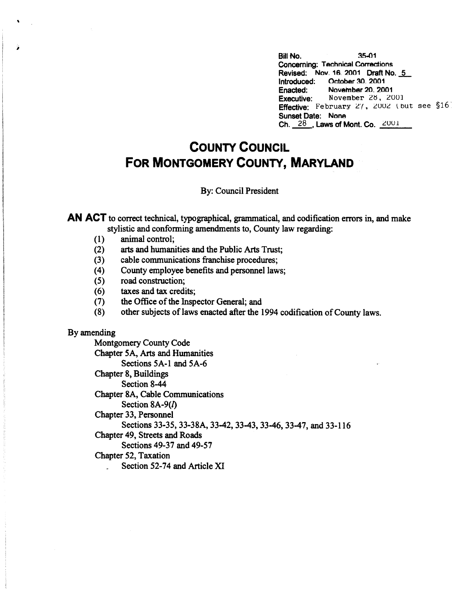Bill No. 35-01 Concerning: Technical Corrections Revised: Nov. 16. 2001 Draft No. 5 Introduced: Octobar 30\_ 2001 Enacted: November 20, 2001<br>Executive: November 28, 20 November 28, 2001 **Effective:** February  $27$ ,  $2002$  (but see §16) Sunset Date: Nona Ch.  $28$ , Laws of Mont. Co.  $2001$ 

## **COUNTY COUNCIL FOR MONTGOMERY COUNTY, MARYLAND**

## By: Council President

**AN ACT** to correct technical, typographical, grammatical, and codification errors in, and make stylistic and conforming amendments to, County law regarding:

- (1) animal control;
- (2) arts and humanities and the Public Arts Trust;
- (3) cable communications franchise procedures;
- (4) County employee benefits and personnel laws;
- ( 5) road construction;
- (6) taxes and tax credits;
- (7) the Office of the Inspector General; and
- (8) other subjects of laws enacted after the 1994 codification of County laws.

## By amending

'

Montgomery County Code Chapter 5A, Arts and Humanities Sections 5A-1 and 5A-6 Chapter 8, Buildings Section 8-44 Chapter 8A, Cable Communications Section **8A-9(/)**  Chapter 33, Personnel Sections 33-35, 33-38A, 33-42, 33-43, 33-46, 33-47, and 33-116 Chapter 49, Streets and Roads Sections 49-37 and 49-57 Chapter 52, Taxation Section 52-74 and Article XI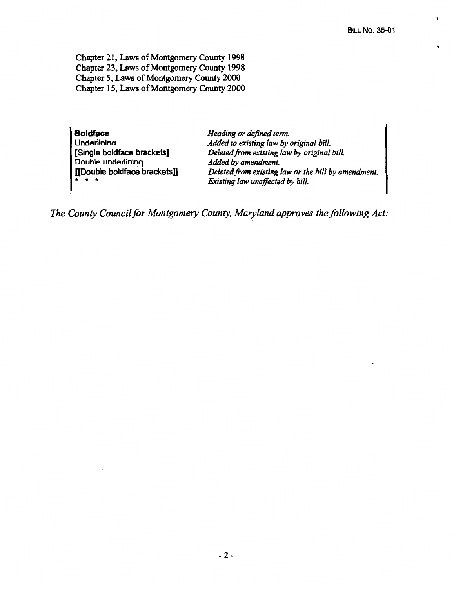Chapter 21, Laws of Montgomery County 1998 Chapter 23, Laws of Montgomery County 1998 Chapter *5,* Laws of Montgomery County 2000 Chapter 15, Laws of Montgomery County 2000

**Boldface Underlinina** [Single boldface brackets] Double underlining [[Double boldface brackets]]  $\ddot{r}$  +  $\ddot{r}$ 

*Heading or defined term. Added to existing law by original bill. Deleted.from existing law by original bill. Added by amendment. Deleted from existing law or the bill by amendment . Existing law unaffected by bill.* 

*The County Council for Montgomery County, Maryland approves the following Act:*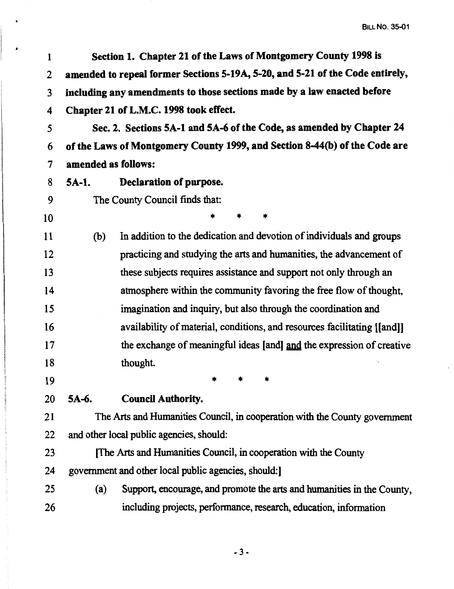BILL No. 35-01

| 1  |                     | Section 1. Chapter 21 of the Laws of Montgomery County 1998 is                |
|----|---------------------|-------------------------------------------------------------------------------|
| 2  |                     | amended to repeal former Sections 5-19A, 5-20, and 5-21 of the Code entirely, |
| 3  |                     | including any amendments to those sections made by a law enacted before       |
| 4  |                     | Chapter 21 of L.M.C. 1998 took effect.                                        |
| 5  |                     | Sec. 2. Sections 5A-1 and 5A-6 of the Code, as amended by Chapter 24          |
| 6  |                     | of the Laws of Montgomery County 1999, and Section 8-44(b) of the Code are    |
| 7  | amended as follows: |                                                                               |
| 8  | $5A-1.$             | Declaration of purpose.                                                       |
| 9  |                     | The County Council finds that:                                                |
| 10 |                     | *<br>*<br>*                                                                   |
| 11 | (b)                 | In addition to the dedication and devotion of individuals and groups          |
| 12 |                     | practicing and studying the arts and humanities, the advancement of           |
| 13 |                     | these subjects requires assistance and support not only through an            |
| 14 |                     | atmosphere within the community favoring the free flow of thought,            |
| 15 |                     | imagination and inquiry, but also through the coordination and                |
| 16 |                     | availability of material, conditions, and resources facilitating [[and]]      |
| 17 |                     | the exchange of meaningful ideas [and] and the expression of creative         |
| 18 |                     | thought.                                                                      |
| 19 |                     |                                                                               |
| 20 | 5A-6.               | <b>Council Authority.</b>                                                     |
| 21 |                     | The Arts and Humanities Council, in cooperation with the County government    |
| 22 |                     | and other local public agencies, should:                                      |
| 23 |                     | The Arts and Humanities Council, in cooperation with the County               |
| 24 |                     | government and other local public agencies, should:                           |
| 25 | (a)                 | Support, encourage, and promote the arts and humanities in the County,        |
| 26 |                     | including projects, performance, research, education, information             |
|    |                     |                                                                               |

 $\ddot{a}$ 

-3-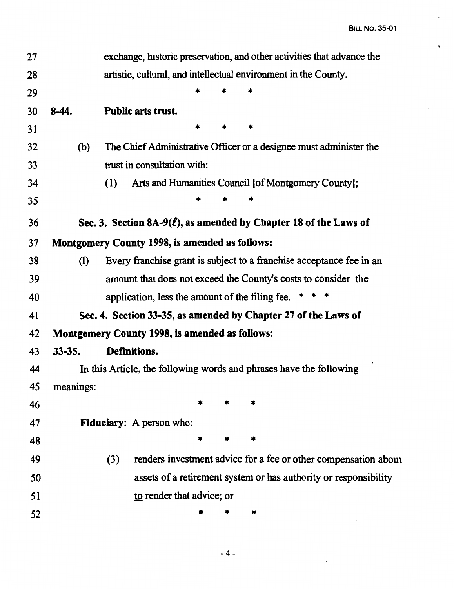$\bullet$ 

| 27 |            | exchange, historic preservation, and other activities that advance the  |
|----|------------|-------------------------------------------------------------------------|
| 28 |            | artistic, cultural, and intellectual environment in the County.         |
| 29 |            |                                                                         |
| 30 | 8-44.      | Public arts trust.                                                      |
| 31 |            |                                                                         |
| 32 | (b)        | The Chief Administrative Officer or a designee must administer the      |
| 33 |            | trust in consultation with:                                             |
| 34 |            | Arts and Humanities Council [of Montgomery County];<br>(1)              |
| 35 |            |                                                                         |
| 36 |            | Sec. 3. Section 8A-9( $\ell$ ), as amended by Chapter 18 of the Laws of |
| 37 |            | <b>Montgomery County 1998, is amended as follows:</b>                   |
| 38 | (1)        | Every franchise grant is subject to a franchise acceptance fee in an    |
| 39 |            | amount that does not exceed the County's costs to consider the          |
| 40 |            | application, less the amount of the filing fee.                         |
| 41 |            | Sec. 4. Section 33-35, as amended by Chapter 27 of the Laws of          |
| 42 |            | <b>Montgomery County 1998, is amended as follows:</b>                   |
| 43 | $33 - 35.$ | Definitions.                                                            |
| 44 |            | In this Article, the following words and phrases have the following     |
| 45 | meanings:  |                                                                         |
| 46 |            |                                                                         |
| 47 |            | <b>Fiduciary:</b> A person who:                                         |
| 48 |            |                                                                         |
| 49 |            | renders investment advice for a fee or other compensation about<br>(3)  |
| 50 |            | assets of a retirement system or has authority or responsibility        |
| 51 |            | to render that advice; or                                               |
| 52 |            |                                                                         |
|    |            |                                                                         |

-4-

 $\mathcal{L}$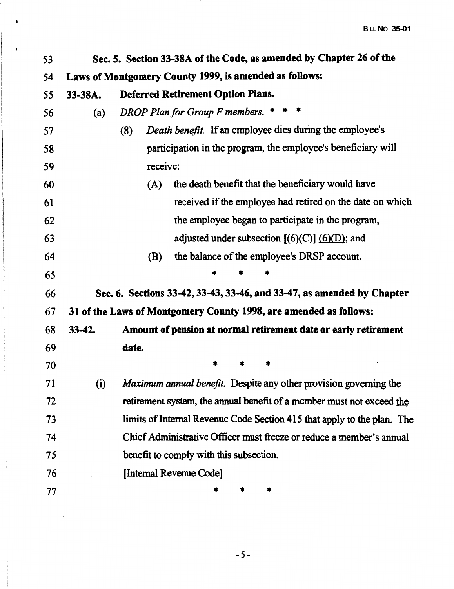| 53 |          | Sec. 5. Section 33-38A of the Code, as amended by Chapter 26 of the     |
|----|----------|-------------------------------------------------------------------------|
| 54 |          | Laws of Montgomery County 1999, is amended as follows:                  |
| 55 | 33-38A.  | <b>Deferred Retirement Option Plans.</b>                                |
| 56 | (a)      | DROP Plan for Group F members. $***$                                    |
| 57 |          | Death benefit. If an employee dies during the employee's<br>(8)         |
| 58 |          | participation in the program, the employee's beneficiary will           |
| 59 |          | receive:                                                                |
| 60 |          | the death benefit that the beneficiary would have<br>(A)                |
| 61 |          | received if the employee had retired on the date on which               |
| 62 |          | the employee began to participate in the program,                       |
| 63 |          | adjusted under subsection $[(6)(C)]$ $(6)(D)$ ; and                     |
| 64 |          | the balance of the employee's DRSP account.<br>(B)                      |
| 65 |          |                                                                         |
| 66 |          | Sec. 6. Sections 33-42, 33-43, 33-46, and 33-47, as amended by Chapter  |
| 67 |          | 31 of the Laws of Montgomery County 1998, are amended as follows:       |
| 68 | $33-42.$ | Amount of pension at normal retirement date or early retirement         |
| 69 |          | date.                                                                   |
| 70 |          |                                                                         |
| 71 | (i)      | Maximum annual benefit. Despite any other provision governing the       |
| 72 |          | retirement system, the annual benefit of a member must not exceed the   |
| 73 |          | limits of Internal Revenue Code Section 415 that apply to the plan. The |
| 74 |          | Chief Administrative Officer must freeze or reduce a member's annual    |
| 75 |          | benefit to comply with this subsection.                                 |
| 76 |          | [Internal Revenue Code]                                                 |
| 77 |          | *<br>*                                                                  |

 $\bullet$ 

 $\mathbf{r}$ 

 $\ddot{\phantom{a}}$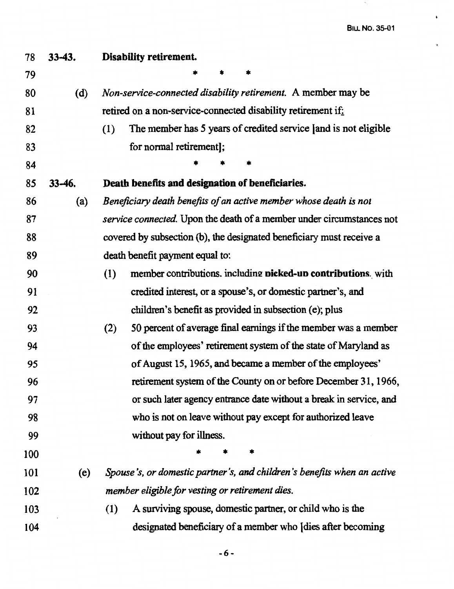$\mathcal{A}_{\mathcal{G}}$ 

| 78  | $33-43.$ | Disability retirement.                                                     |
|-----|----------|----------------------------------------------------------------------------|
| 79  |          |                                                                            |
| 80  | (d)      | Non-service-connected disability retirement. A member may be               |
| 81  |          | retired on a non-service-connected disability retirement if:               |
| 82  |          | The member has 5 years of credited service [and is not eligible<br>(1)     |
| 83  |          | for normal retirement];                                                    |
| 84  |          | *                                                                          |
| 85  | 33-46.   | Death benefits and designation of beneficiaries.                           |
| 86  | (a)      | Beneficiary death benefits of an active member whose death is not          |
| 87  |          | service connected. Upon the death of a member under circumstances not      |
| 88  |          | covered by subsection (b), the designated beneficiary must receive a       |
| 89  |          | death benefit payment equal to:                                            |
| 90  |          | member contributions. including <b>picked-up contributions</b> with<br>(1) |
| 91  |          | credited interest, or a spouse's, or domestic partner's, and               |
| 92  |          | children's benefit as provided in subsection (e); plus                     |
| 93  |          | 50 percent of average final earnings if the member was a member<br>(2)     |
| 94  |          | of the employees' retirement system of the state of Maryland as            |
| 95  |          | of August 15, 1965, and became a member of the employees'                  |
| 96  |          | retirement system of the County on or before December 31, 1966,            |
| 97  |          | or such later agency entrance date without a break in service, and         |
| 98  |          | who is not on leave without pay except for authorized leave                |
| 99  |          | without pay for illness.                                                   |
| 100 |          |                                                                            |
| 101 | (e)      | Spouse's, or domestic partner's, and children's benefits when an active    |
| 102 |          | member eligible for vesting or retirement dies.                            |
| 103 |          | A surviving spouse, domestic partner, or child who is the<br>(1)           |
| 104 |          | designated beneficiary of a member who [dies after becoming                |

-6-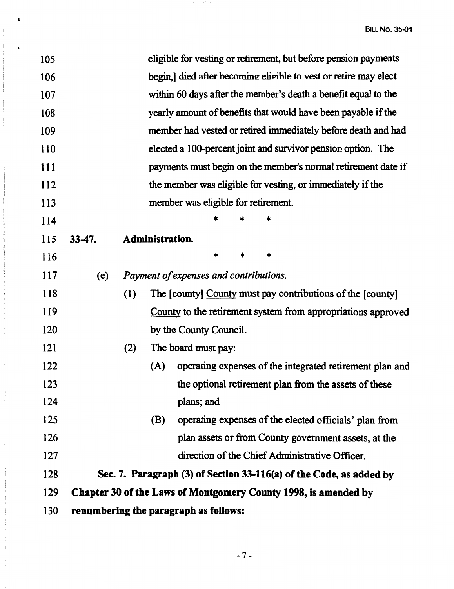| 105        |                                       |     |                 |                                        |        |   | eligible for vesting or retirement, but before pension payments     |
|------------|---------------------------------------|-----|-----------------|----------------------------------------|--------|---|---------------------------------------------------------------------|
| 106        |                                       |     |                 |                                        |        |   | begin,] died after becoming eligible to vest or retire may elect    |
| 107        |                                       |     |                 |                                        |        |   | within 60 days after the member's death a benefit equal to the      |
| 108        |                                       |     |                 |                                        |        |   | yearly amount of benefits that would have been payable if the       |
| 109        |                                       |     |                 |                                        |        |   | member had vested or retired immediately before death and had       |
| 110        |                                       |     |                 |                                        |        |   | elected a 100-percent joint and survivor pension option. The        |
| 111        |                                       |     |                 |                                        |        |   | payments must begin on the member's normal retirement date if       |
| <b>112</b> |                                       |     |                 |                                        |        |   | the member was eligible for vesting, or immediately if the          |
| 113        |                                       |     |                 | member was eligible for retirement.    |        |   |                                                                     |
| 114        |                                       |     |                 |                                        |        |   |                                                                     |
| <b>115</b> | $33-47.$                              |     | Administration. |                                        |        |   |                                                                     |
| 116        |                                       |     |                 |                                        | $\ast$ | * |                                                                     |
| <b>117</b> | (e)                                   |     |                 | Payment of expenses and contributions. |        |   |                                                                     |
| 118        |                                       | (1) |                 |                                        |        |   | The [county] County must pay contributions of the [county]          |
| 119        |                                       |     |                 |                                        |        |   | County to the retirement system from appropriations approved        |
| 120        |                                       |     |                 | by the County Council.                 |        |   |                                                                     |
| 121        |                                       | (2) |                 | The board must pay:                    |        |   |                                                                     |
| 122        |                                       |     | (A)             |                                        |        |   | operating expenses of the integrated retirement plan and            |
| 123        |                                       |     |                 |                                        |        |   | the optional retirement plan from the assets of these               |
| 124        |                                       |     |                 | plans; and                             |        |   |                                                                     |
| 125        |                                       |     | (B)             |                                        |        |   | operating expenses of the elected officials' plan from              |
| 126        |                                       |     |                 |                                        |        |   | plan assets or from County government assets, at the                |
| 127        |                                       |     |                 |                                        |        |   | direction of the Chief Administrative Officer.                      |
| 128        |                                       |     |                 |                                        |        |   | Sec. 7. Paragraph (3) of Section 33-116(a) of the Code, as added by |
| 129        |                                       |     |                 |                                        |        |   | Chapter 30 of the Laws of Montgomery County 1998, is amended by     |
| <b>130</b> | renumbering the paragraph as follows: |     |                 |                                        |        |   |                                                                     |

 $\rightarrow$  , or  $\sim$ 

 $\bullet$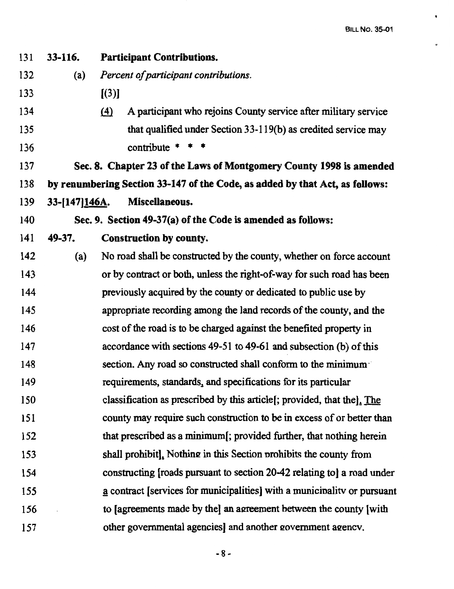$\ddot{\phantom{0}}$ 

| 131 | 33-116.        | <b>Participant Contributions.</b>                                                   |
|-----|----------------|-------------------------------------------------------------------------------------|
| 132 | (a)            | Percent of participant contributions.                                               |
| 133 |                | [(3)]                                                                               |
| 134 |                | A participant who rejoins County service after military service<br>$\left(4\right)$ |
| 135 |                | that qualified under Section 33-119(b) as credited service may                      |
| 136 |                | contribute $* * *$                                                                  |
| 137 |                | Sec. 8. Chapter 23 of the Laws of Montgomery County 1998 is amended                 |
| 138 |                | by renumbering Section 33-147 of the Code, as added by that Act, as follows:        |
| 139 | 33-[147] 146A. | Miscellaneous.                                                                      |
| 140 |                | Sec. 9. Section 49-37(a) of the Code is amended as follows:                         |
| 141 | 49-37.         | Construction by county.                                                             |
| 142 | (a)            | No road shall be constructed by the county, whether on force account                |
| 143 |                | or by contract or both, unless the right-of-way for such road has been              |
| 144 |                | previously acquired by the county or dedicated to public use by                     |
| 145 |                | appropriate recording among the land records of the county, and the                 |
| 146 |                | cost of the road is to be charged against the benefited property in                 |
| 147 |                | accordance with sections 49-51 to 49-61 and subsection (b) of this                  |
| 148 |                | section. Any road so constructed shall conform to the minimum                       |
| 149 |                | requirements, standards, and specifications for its particular                      |
| 150 |                | classification as prescribed by this article [; provided, that the]. The            |
| 151 |                | county may require such construction to be in excess of or better than              |
| 152 |                | that prescribed as a minimum[; provided further, that nothing herein                |
| 153 |                | shall prohibit]. Nothing in this Section prohibits the county from                  |
| 154 |                | constructing [roads pursuant to section 20-42 relating to] a road under             |
| 155 |                | a contract [services for municipalities] with a municipality or pursuant            |
| 156 |                | to [agreements made by the] an agreement between the county [with                   |
| 157 |                | other governmental agencies] and another government agency.                         |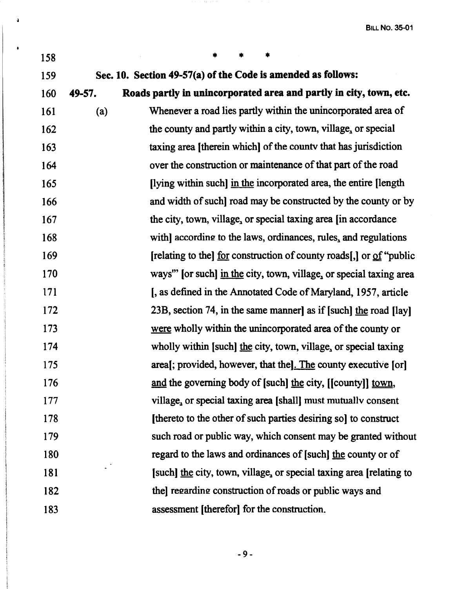BILL **No. 35-01** 

| 158 |        |                                                                     |
|-----|--------|---------------------------------------------------------------------|
| 159 |        | Sec. 10. Section 49-57(a) of the Code is amended as follows:        |
| 160 | 49-57. | Roads partly in unincorporated area and partly in city, town, etc.  |
| 161 | (a)    | Whenever a road lies partly within the unincorporated area of       |
| 162 |        | the county and partly within a city, town, village, or special      |
| 163 |        | taxing area [therein which] of the county that has jurisdiction     |
| 164 |        | over the construction or maintenance of that part of the road       |
| 165 |        | [lying within such] in the incorporated area, the entire [length]   |
| 166 |        | and width of such] road may be constructed by the county or by      |
| 167 |        | the city, town, village, or special taxing area [in accordance      |
| 168 |        | with] according to the laws, ordinances, rules, and regulations     |
| 169 |        | [relating to the] for construction of county roads[,] or of "public |
| 170 |        | ways" [or such] in the city, town, village, or special taxing area  |
| 171 |        | [, as defined in the Annotated Code of Maryland, 1957, article      |
| 172 |        | 23B, section 74, in the same manner] as if [such] the road [lay]    |
| 173 |        | were wholly within the unincorporated area of the county or         |
| 174 |        | wholly within [such] the city, town, village, or special taxing     |
| 175 |        | area[; provided, however, that the]. The county executive [or]      |
| 176 |        | and the governing body of [such] the city, [[county]] town,         |
| 177 |        | village, or special taxing area [shall] must mutually consent       |
| 178 |        | [thereto to the other of such parties desiring so] to construct     |
| 179 |        | such road or public way, which consent may be granted without       |
| 180 |        | regard to the laws and ordinances of [such] the county or of        |
| 181 |        | [such] the city, town, village, or special taxing area [relating to |
| 182 |        | thel regarding construction of roads or public ways and             |
| 183 |        | assessment [therefor] for the construction.                         |

to and the

 $\Delta$ 

 $\ddot{\phantom{a}}$ 

-9-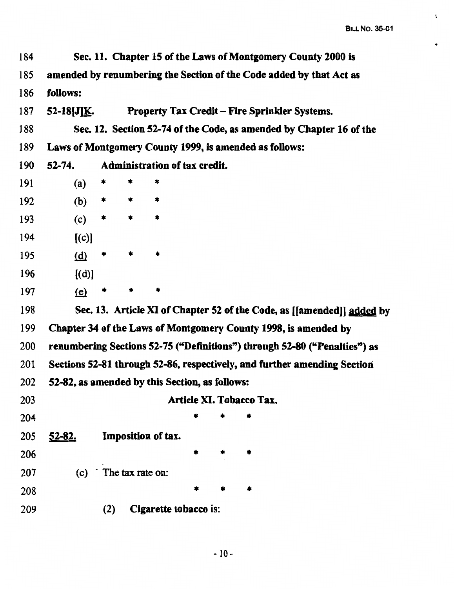..

 $\ddot{\bullet}$ 

| 184        |                                                        |                  |   |                               |                          |  | Sec. 11. Chapter 15 of the Laws of Montgomery County 2000 is              |
|------------|--------------------------------------------------------|------------------|---|-------------------------------|--------------------------|--|---------------------------------------------------------------------------|
| 185        |                                                        |                  |   |                               |                          |  | amended by renumbering the Section of the Code added by that Act as       |
| 186        | follows:                                               |                  |   |                               |                          |  |                                                                           |
| 187        | 52-18[J] $\underline{\bf K}$ .                         |                  |   |                               |                          |  | <b>Property Tax Credit – Fire Sprinkler Systems.</b>                      |
| 188        |                                                        |                  |   |                               |                          |  | Sec. 12. Section 52-74 of the Code, as amended by Chapter 16 of the       |
| 189        | Laws of Montgomery County 1999, is amended as follows: |                  |   |                               |                          |  |                                                                           |
| 190        | $52 - 74.$                                             |                  |   | Administration of tax credit. |                          |  |                                                                           |
| 191        | (a)                                                    | *                | * | *                             |                          |  |                                                                           |
| 192        | (b)                                                    | *                | * | *                             |                          |  |                                                                           |
| 193        | (c)                                                    | $\ast$           | * | *                             |                          |  |                                                                           |
| 194        | [(c)]                                                  |                  |   |                               |                          |  |                                                                           |
| 195        | $\overline{d}$                                         | *                | * |                               |                          |  |                                                                           |
| 196        | [(d)]                                                  |                  |   |                               |                          |  |                                                                           |
| 197        | $\mathbf{e}$                                           |                  |   |                               |                          |  |                                                                           |
| 198        |                                                        |                  |   |                               |                          |  | Sec. 13. Article XI of Chapter 52 of the Code, as [[amended]] added by    |
| 199        |                                                        |                  |   |                               |                          |  | Chapter 34 of the Laws of Montgomery County 1998, is amended by           |
| <b>200</b> |                                                        |                  |   |                               |                          |  | renumbering Sections 52-75 ("Definitions") through 52-80 ("Penalties") as |
| 201        |                                                        |                  |   |                               |                          |  | Sections 52-81 through 52-86, respectively, and further amending Section  |
| 202        | 52-82, as amended by this Section, as follows:         |                  |   |                               |                          |  |                                                                           |
| 203        |                                                        |                  |   |                               | Article XI. Tobacco Tax. |  |                                                                           |
| 204        |                                                        |                  |   |                               |                          |  |                                                                           |
| 205        | <u>52-82.</u>                                          |                  |   | Imposition of tax.            |                          |  |                                                                           |
| 206        |                                                        |                  |   |                               | *                        |  |                                                                           |
| 207        | (c)                                                    | The tax rate on: |   |                               |                          |  |                                                                           |
| 208        |                                                        |                  |   |                               |                          |  |                                                                           |
| 209        |                                                        | (2)              |   | Cigarette tobacco is:         |                          |  |                                                                           |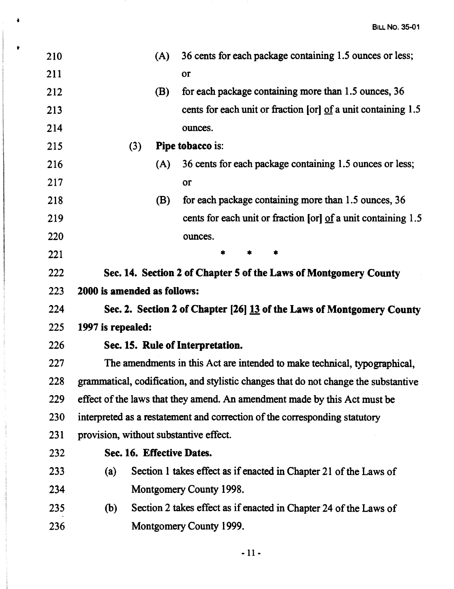| 210 |                                        | (A) | 36 cents for each package containing 1.5 ounces or less;                            |
|-----|----------------------------------------|-----|-------------------------------------------------------------------------------------|
| 211 |                                        |     | or                                                                                  |
| 212 |                                        | (B) | for each package containing more than 1.5 ounces, 36                                |
| 213 |                                        |     | cents for each unit or fraction [or] of a unit containing 1.5                       |
| 214 |                                        |     | ounces.                                                                             |
| 215 | (3)                                    |     | <b>Pipe tobacco is:</b>                                                             |
| 216 |                                        | (A) | 36 cents for each package containing 1.5 ounces or less;                            |
| 217 |                                        |     | or                                                                                  |
| 218 |                                        | (B) | for each package containing more than 1.5 ounces, 36                                |
| 219 |                                        |     | cents for each unit or fraction [or] of a unit containing 1.5                       |
| 220 |                                        |     | ounces.                                                                             |
| 221 |                                        |     | *<br>*                                                                              |
| 222 |                                        |     | Sec. 14. Section 2 of Chapter 5 of the Laws of Montgomery County                    |
| 223 | 2000 is amended as follows:            |     |                                                                                     |
| 224 |                                        |     | Sec. 2. Section 2 of Chapter [26] 13 of the Laws of Montgomery County               |
| 225 | 1997 is repealed:                      |     |                                                                                     |
| 226 |                                        |     | Sec. 15. Rule of Interpretation.                                                    |
| 227 |                                        |     | The amendments in this Act are intended to make technical, typographical,           |
| 228 |                                        |     | grammatical, codification, and stylistic changes that do not change the substantive |
| 229 |                                        |     | effect of the laws that they amend. An amendment made by this Act must be           |
| 230 |                                        |     | interpreted as a restatement and correction of the corresponding statutory          |
| 231 | provision, without substantive effect. |     |                                                                                     |
| 232 | Sec. 16. Effective Dates.              |     |                                                                                     |
| 233 | (a)                                    |     | Section 1 takes effect as if enacted in Chapter 21 of the Laws of                   |
| 234 |                                        |     | Montgomery County 1998.                                                             |
| 235 | (b)                                    |     | Section 2 takes effect as if enacted in Chapter 24 of the Laws of                   |
| 236 |                                        |     | Montgomery County 1999.                                                             |
|     |                                        |     |                                                                                     |

 $\lambda$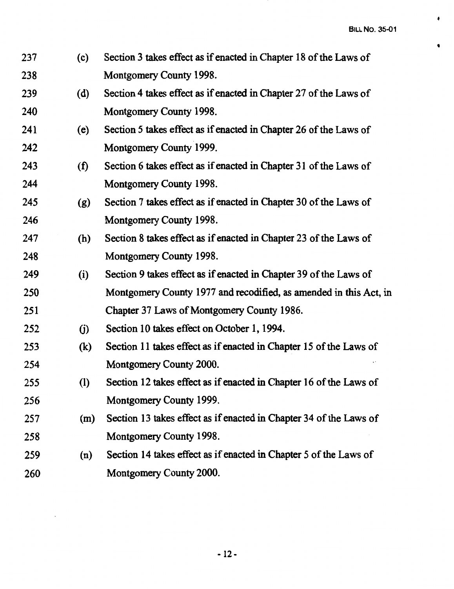**t** 

| 237 | (c)               | Section 3 takes effect as if enacted in Chapter 18 of the Laws of  |
|-----|-------------------|--------------------------------------------------------------------|
| 238 |                   | Montgomery County 1998.                                            |
| 239 | (d)               | Section 4 takes effect as if enacted in Chapter 27 of the Laws of  |
| 240 |                   | Montgomery County 1998.                                            |
| 241 | (e)               | Section 5 takes effect as if enacted in Chapter 26 of the Laws of  |
| 242 |                   | Montgomery County 1999.                                            |
| 243 | (f)               | Section 6 takes effect as if enacted in Chapter 31 of the Laws of  |
| 244 |                   | Montgomery County 1998.                                            |
| 245 | (g)               | Section 7 takes effect as if enacted in Chapter 30 of the Laws of  |
| 246 |                   | Montgomery County 1998.                                            |
| 247 | (h)               | Section 8 takes effect as if enacted in Chapter 23 of the Laws of  |
| 248 |                   | Montgomery County 1998.                                            |
| 249 | (i)               | Section 9 takes effect as if enacted in Chapter 39 of the Laws of  |
| 250 |                   | Montgomery County 1977 and recodified, as amended in this Act, in  |
| 251 |                   | Chapter 37 Laws of Montgomery County 1986.                         |
| 252 | (j)               | Section 10 takes effect on October 1, 1994.                        |
| 253 | $\left( k\right)$ | Section 11 takes effect as if enacted in Chapter 15 of the Laws of |
| 254 |                   | Montgomery County 2000.                                            |
| 255 | (1)               | Section 12 takes effect as if enacted in Chapter 16 of the Laws of |
| 256 |                   | Montgomery County 1999.                                            |
| 257 | (m)               | Section 13 takes effect as if enacted in Chapter 34 of the Laws of |
| 258 |                   | Montgomery County 1998.                                            |
| 259 | (n)               | Section 14 takes effect as if enacted in Chapter 5 of the Laws of  |
| 260 |                   | Montgomery County 2000.                                            |
|     |                   |                                                                    |

 $\ddot{\phantom{a}}$